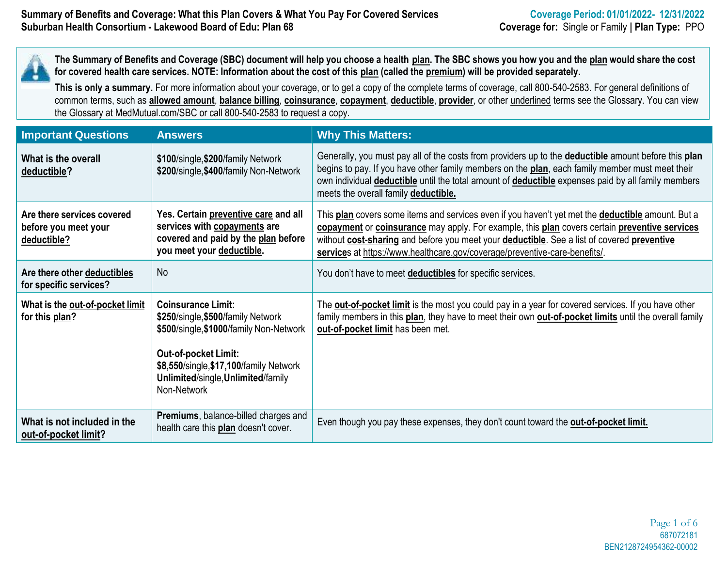The Summary of Benefits and Coverage (SBC) document will help you choose a health plan. The SBC shows you how you and the plan would share the cost for covered health care services. NOTE: Information about the cost of this plan (called the premium) will be provided separately.

**This is only a summary.** For more information about your coverage, or to get a copy of the complete terms of coverage, call 800-540-2583. For general definitions of common terms, such as **allowed amount**, **balance billing**, **coinsurance**, **copayment**, **deductible**, **provider**, or other underlined terms see the Glossary. You can view the Glossary at MedMutual.com/SBC or call 800-540-2583 to request a copy.

| <b>Important Questions</b>                                        | <b>Answers</b>                                                                                                                                                                                                                     | <b>Why This Matters:</b>                                                                                                                                                                                                                                                                                                                                                       |
|-------------------------------------------------------------------|------------------------------------------------------------------------------------------------------------------------------------------------------------------------------------------------------------------------------------|--------------------------------------------------------------------------------------------------------------------------------------------------------------------------------------------------------------------------------------------------------------------------------------------------------------------------------------------------------------------------------|
| What is the overall<br>deductible?                                | \$100/single, \$200/family Network<br>\$200/single, \$400/family Non-Network                                                                                                                                                       | Generally, you must pay all of the costs from providers up to the <b>deductible</b> amount before this plan<br>begins to pay. If you have other family members on the plan, each family member must meet their<br>own individual <b>deductible</b> until the total amount of <b>deductible</b> expenses paid by all family members<br>meets the overall family deductible.     |
| Are there services covered<br>before you meet your<br>deductible? | Yes. Certain preventive care and all<br>services with copayments are<br>covered and paid by the plan before<br>you meet your deductible.                                                                                           | This plan covers some items and services even if you haven't yet met the deductible amount. But a<br>copayment or coinsurance may apply. For example, this plan covers certain preventive services<br>without cost-sharing and before you meet your deductible. See a list of covered preventive<br>services at https://www.healthcare.gov/coverage/preventive-care-benefits/. |
| Are there other deductibles<br>for specific services?             | <b>No</b>                                                                                                                                                                                                                          | You don't have to meet deductibles for specific services.                                                                                                                                                                                                                                                                                                                      |
| What is the out-of-pocket limit<br>for this plan?                 | <b>Coinsurance Limit:</b><br>\$250/single, \$500/family Network<br>\$500/single, \$1000/family Non-Network<br>Out-of-pocket Limit:<br>\$8,550/single, \$17,100/family Network<br>Unlimited/single, Unlimited/family<br>Non-Network | The <b>out-of-pocket limit</b> is the most you could pay in a year for covered services. If you have other<br>family members in this plan, they have to meet their own <b>out-of-pocket limits</b> until the overall family<br>out-of-pocket limit has been met.                                                                                                               |
| What is not included in the<br>out-of-pocket limit?               | Premiums, balance-billed charges and<br>health care this plan doesn't cover.                                                                                                                                                       | Even though you pay these expenses, they don't count toward the out-of-pocket limit.                                                                                                                                                                                                                                                                                           |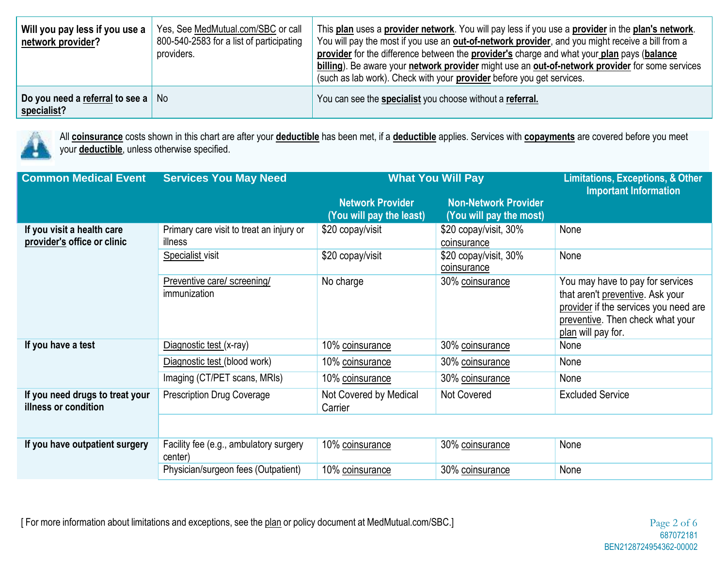| Will you pay less if you use a<br>network provider?       | Yes, See MedMutual.com/SBC or call<br>800-540-2583 for a list of participating<br>providers. | This plan uses a provider network. You will pay less if you use a provider in the plan's network.<br>You will pay the most if you use an <b>out-of-network provider</b> , and you might receive a bill from a<br>provider for the difference between the provider's charge and what your plan pays (balance<br>billing). Be aware your network provider might use an out-of-network provider for some services<br>(such as lab work). Check with your <b>provider</b> before you get services. |
|-----------------------------------------------------------|----------------------------------------------------------------------------------------------|------------------------------------------------------------------------------------------------------------------------------------------------------------------------------------------------------------------------------------------------------------------------------------------------------------------------------------------------------------------------------------------------------------------------------------------------------------------------------------------------|
| Do you need a referral to see a $\vert$ No<br>specialist? |                                                                                              | You can see the <b>specialist</b> you choose without a referral.                                                                                                                                                                                                                                                                                                                                                                                                                               |



All **coinsurance** costs shown in this chart are after your **deductible** has been met, if a **deductible** applies. Services with **copayments** are covered before you meet your **deductible**, unless otherwise specified.

| <b>Common Medical Event</b>                               | <b>Services You May Need</b>                        | <b>What You Will Pay</b>                            | <b>Limitations, Exceptions, &amp; Other</b><br><b>Important Information</b> |                                                                                                                                                                         |
|-----------------------------------------------------------|-----------------------------------------------------|-----------------------------------------------------|-----------------------------------------------------------------------------|-------------------------------------------------------------------------------------------------------------------------------------------------------------------------|
|                                                           |                                                     | <b>Network Provider</b><br>(You will pay the least) | <b>Non-Network Provider</b><br>(You will pay the most)                      |                                                                                                                                                                         |
| If you visit a health care<br>provider's office or clinic | Primary care visit to treat an injury or<br>illness | \$20 copay/visit                                    | \$20 copay/visit, 30%<br>coinsurance                                        | None                                                                                                                                                                    |
|                                                           | Specialist visit                                    | \$20 copay/visit                                    | \$20 copay/visit, 30%<br>coinsurance                                        | None                                                                                                                                                                    |
|                                                           | Preventive care/ screening/<br>immunization         | No charge                                           | 30% coinsurance                                                             | You may have to pay for services<br>that aren't preventive. Ask your<br>provider if the services you need are<br>preventive. Then check what your<br>plan will pay for. |
| If you have a test                                        | Diagnostic test (x-ray)                             | 10% coinsurance                                     | 30% coinsurance                                                             | None                                                                                                                                                                    |
|                                                           | Diagnostic test (blood work)                        | 10% coinsurance                                     | 30% coinsurance                                                             | None                                                                                                                                                                    |
|                                                           | Imaging (CT/PET scans, MRIs)                        | 10% coinsurance                                     | 30% coinsurance                                                             | None                                                                                                                                                                    |
| If you need drugs to treat your<br>illness or condition   | <b>Prescription Drug Coverage</b>                   | Not Covered by Medical<br>Carrier                   | Not Covered<br><b>Excluded Service</b>                                      |                                                                                                                                                                         |
|                                                           |                                                     |                                                     |                                                                             |                                                                                                                                                                         |
| If you have outpatient surgery                            | Facility fee (e.g., ambulatory surgery<br>center)   | 10% coinsurance                                     | 30% coinsurance                                                             | None                                                                                                                                                                    |
|                                                           | Physician/surgeon fees (Outpatient)                 | 10% coinsurance                                     | 30% coinsurance                                                             | None                                                                                                                                                                    |

[For more information about limitations and exceptions, see the plan or policy document at MedMutual.com/SBC.] Page 2 of 6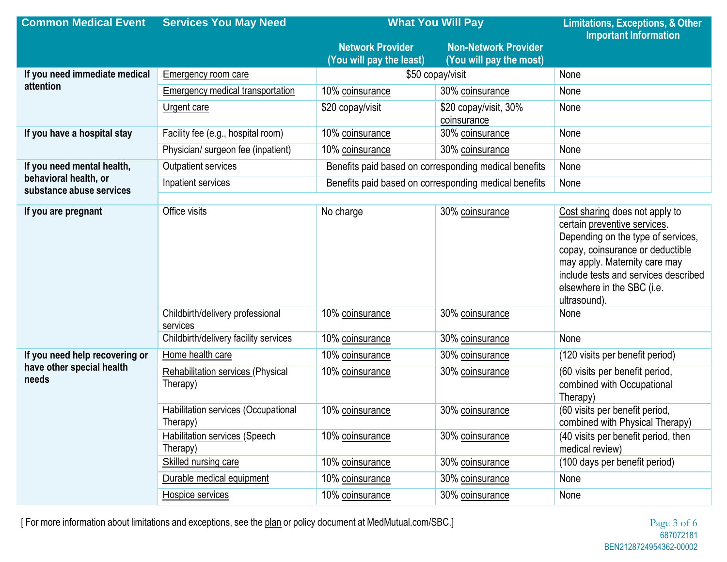| <b>Common Medical Event</b>                       | <b>Services You May Need</b>                         | <b>What You Will Pay</b>                              |                                                        | <b>Limitations, Exceptions, &amp; Other</b><br><b>Important Information</b>                                                                                                                                                                                     |
|---------------------------------------------------|------------------------------------------------------|-------------------------------------------------------|--------------------------------------------------------|-----------------------------------------------------------------------------------------------------------------------------------------------------------------------------------------------------------------------------------------------------------------|
|                                                   |                                                      | <b>Network Provider</b><br>(You will pay the least)   | <b>Non-Network Provider</b><br>(You will pay the most) |                                                                                                                                                                                                                                                                 |
| If you need immediate medical                     | <b>Emergency room care</b>                           |                                                       | \$50 copay/visit                                       | None                                                                                                                                                                                                                                                            |
| attention                                         | <b>Emergency medical transportation</b>              | 10% coinsurance<br>30% coinsurance                    |                                                        | None                                                                                                                                                                                                                                                            |
|                                                   | <b>Urgent care</b>                                   | \$20 copay/visit                                      | \$20 copay/visit, 30%<br>coinsurance                   | None                                                                                                                                                                                                                                                            |
| If you have a hospital stay                       | Facility fee (e.g., hospital room)                   | 10% coinsurance                                       | 30% coinsurance                                        | None                                                                                                                                                                                                                                                            |
|                                                   | Physician/ surgeon fee (inpatient)                   | 10% coinsurance                                       | 30% coinsurance                                        | None                                                                                                                                                                                                                                                            |
| If you need mental health,                        | Outpatient services                                  | Benefits paid based on corresponding medical benefits |                                                        | None                                                                                                                                                                                                                                                            |
| behavioral health, or<br>substance abuse services | Inpatient services                                   | Benefits paid based on corresponding medical benefits |                                                        | None                                                                                                                                                                                                                                                            |
|                                                   |                                                      |                                                       |                                                        |                                                                                                                                                                                                                                                                 |
| If you are pregnant                               | Office visits                                        | No charge                                             | 30% coinsurance                                        | Cost sharing does not apply to<br>certain preventive services.<br>Depending on the type of services,<br>copay, coinsurance or deductible<br>may apply. Maternity care may<br>include tests and services described<br>elsewhere in the SBC (i.e.<br>ultrasound). |
|                                                   | Childbirth/delivery professional<br>services         | 10% coinsurance                                       | 30% coinsurance                                        | None                                                                                                                                                                                                                                                            |
|                                                   | Childbirth/delivery facility services                | 10% coinsurance                                       | 30% coinsurance                                        | None                                                                                                                                                                                                                                                            |
| If you need help recovering or                    | Home health care                                     | 10% coinsurance                                       | 30% coinsurance                                        | (120 visits per benefit period)                                                                                                                                                                                                                                 |
| have other special health<br>needs                | <b>Rehabilitation services (Physical</b><br>Therapy) | 10% coinsurance                                       | 30% coinsurance                                        | (60 visits per benefit period,<br>combined with Occupational<br>Therapy)                                                                                                                                                                                        |
|                                                   | Habilitation services (Occupational<br>Therapy)      | 10% coinsurance                                       | 30% coinsurance                                        | (60 visits per benefit period,<br>combined with Physical Therapy)                                                                                                                                                                                               |
|                                                   | <b>Habilitation services (Speech</b><br>Therapy)     | 10% coinsurance                                       | 30% coinsurance                                        | (40 visits per benefit period, then<br>medical review)                                                                                                                                                                                                          |
|                                                   | Skilled nursing care                                 | 10% coinsurance                                       | 30% coinsurance                                        | (100 days per benefit period)                                                                                                                                                                                                                                   |
|                                                   | Durable medical equipment                            | 10% coinsurance                                       | 30% coinsurance<br>None                                |                                                                                                                                                                                                                                                                 |
|                                                   | Hospice services                                     | 10% coinsurance                                       | 30% coinsurance                                        | None                                                                                                                                                                                                                                                            |

[ For more information about limitations and exceptions, see the plan or policy document at MedMutual.com/SBC.]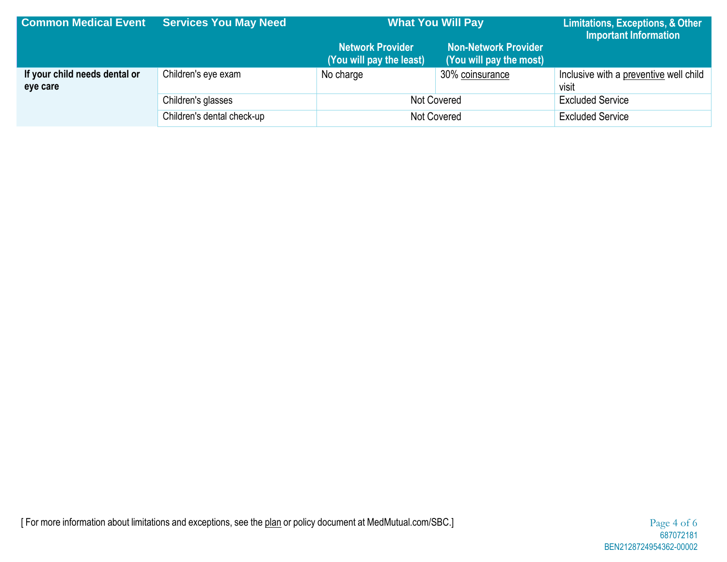| <b>Common Medical Event</b>               | <b>Services You May Need</b> | <b>What You Will Pay</b>                            |                                                        | Limitations, Exceptions, & Other<br>Important Information |
|-------------------------------------------|------------------------------|-----------------------------------------------------|--------------------------------------------------------|-----------------------------------------------------------|
|                                           |                              | <b>Network Provider</b><br>(You will pay the least) | <b>Non-Network Provider</b><br>(You will pay the most) |                                                           |
| If your child needs dental or<br>eye care | Children's eye exam          | No charge                                           | 30% coinsurance                                        | Inclusive with a preventive well child<br>visit           |
|                                           | Children's glasses           | Not Covered                                         |                                                        | <b>Excluded Service</b>                                   |
|                                           | Children's dental check-up   | Not Covered                                         |                                                        | <b>Excluded Service</b>                                   |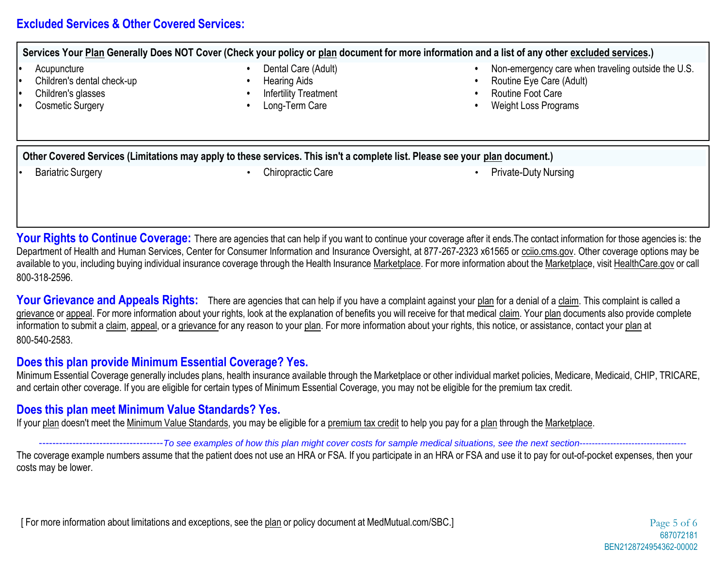# **Excluded Services & Other Covered Services:**

Services Your Plan Generally Does NOT Cover (Check your policy or plan document for more information and a list of any other excluded services.)

- **•** Acupuncture
- **•** Children's dental check-up
- **•** Children's glasses
- **•** Cosmetic Surgery
- **•** Dental Care (Adult)
- **•** Hearing Aids
- **•** Infertility Treatment
- **•** Long-Term Care
- **•** Non-emergency care when traveling outside the U.S.
- **•** Routine Eye Care (Adult)
- **•** Routine Foot Care
- **•** Weight Loss Programs

Other Covered Services (Limitations may apply to these services. This isn't a complete list. Please see your plan document.)

- 
- **Bariatric Surgery Chiropractic Care** Chiropractic Care Private-Duty Nursing

Your Rights to Continue Coverage: There are agencies that can help if you want to continue your coverage after it ends. The contact information for those agencies is: the Department of Health and Human Services, Center for Consumer Information and Insurance Oversight, at 877-267-2323 x61565 or cciio.cms.gov. Other coverage options may be available to you, including buying individual insurance coverage through the Health Insurance Marketplace. For more information about the Marketplace, visit HealthCare.gov or call 800-318-2596.

Your Grievance and Appeals Rights: There are agencies that can help if you have a complaint against your plan for a denial of a claim. This complaint is called a grievance or appeal. For more information about your rights, look at the explanation of benefits you will receive for that medical claim. Your plan documents also provide complete information to submit a claim, appeal, or a grievance for any reason to your plan. For more information about your rights, this notice, or assistance, contact your plan at 800-540-2583.

## **Does this plan provide Minimum Essential Coverage? Yes.**

Minimum Essential Coverage generally includes plans, health insurance available through the Marketplace or other individual market policies, Medicare, Medicaid, CHIP, TRICARE, and certain other coverage. If you are eligible for certain types of Minimum Essential Coverage, you may not be eligible for the premium tax credit.

## **Does this plan meet Minimum Value Standards? Yes.**

If your plan doesn't meet the Minimum Value Standards, you may be eligible for a premium tax credit to help you pay for a plan through the Marketplace.

#### ------------------------------To see examples of how this plan might cover costs for sample medical situations, see the next section------------------

The coverage example numbers assume that the patient does not use an HRA or FSA. If you participate in an HRA or FSA and use it to pay for out-of-pocket expenses, then your costs may be lower.

[ For more information about limitations and exceptions, see the plan or policy document at MedMutual.com/SBC.] Page 5 of 6